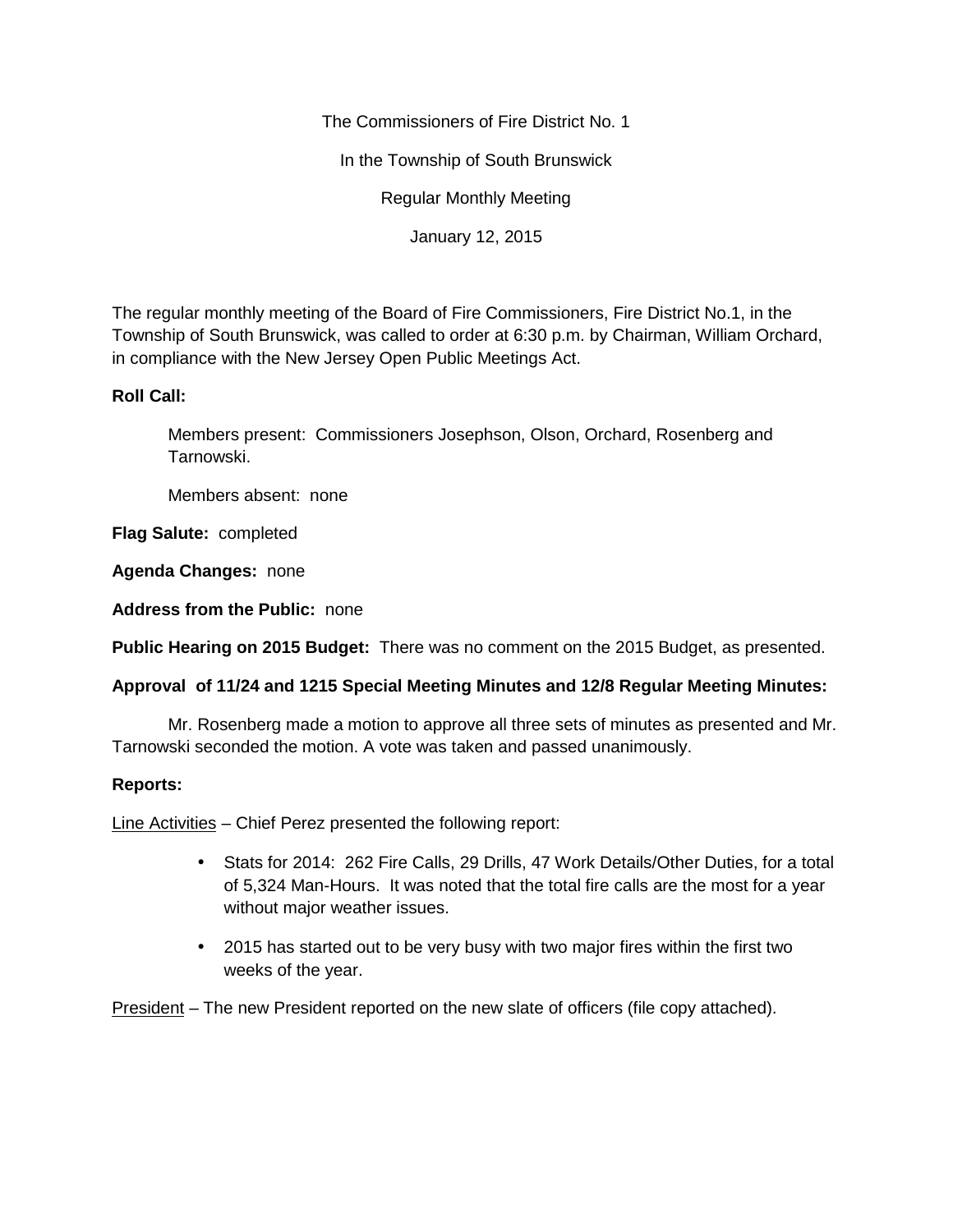The Commissioners of Fire District No. 1

In the Township of South Brunswick

Regular Monthly Meeting

January 12, 2015

The regular monthly meeting of the Board of Fire Commissioners, Fire District No.1, in the Township of South Brunswick, was called to order at 6:30 p.m. by Chairman, William Orchard, in compliance with the New Jersey Open Public Meetings Act.

# **Roll Call:**

Members present: Commissioners Josephson, Olson, Orchard, Rosenberg and Tarnowski.

Members absent: none

**Flag Salute:** completed

**Agenda Changes:** none

**Address from the Public:** none

**Public Hearing on 2015 Budget:** There was no comment on the 2015 Budget, as presented.

# **Approval of 11/24 and 1215 Special Meeting Minutes and 12/8 Regular Meeting Minutes:**

Mr. Rosenberg made a motion to approve all three sets of minutes as presented and Mr. Tarnowski seconded the motion. A vote was taken and passed unanimously.

### **Reports:**

Line Activities – Chief Perez presented the following report:

- Stats for 2014: 262 Fire Calls, 29 Drills, 47 Work Details/Other Duties, for a total of 5,324 Man-Hours. It was noted that the total fire calls are the most for a year without major weather issues.
- 2015 has started out to be very busy with two major fires within the first two weeks of the year.

President – The new President reported on the new slate of officers (file copy attached).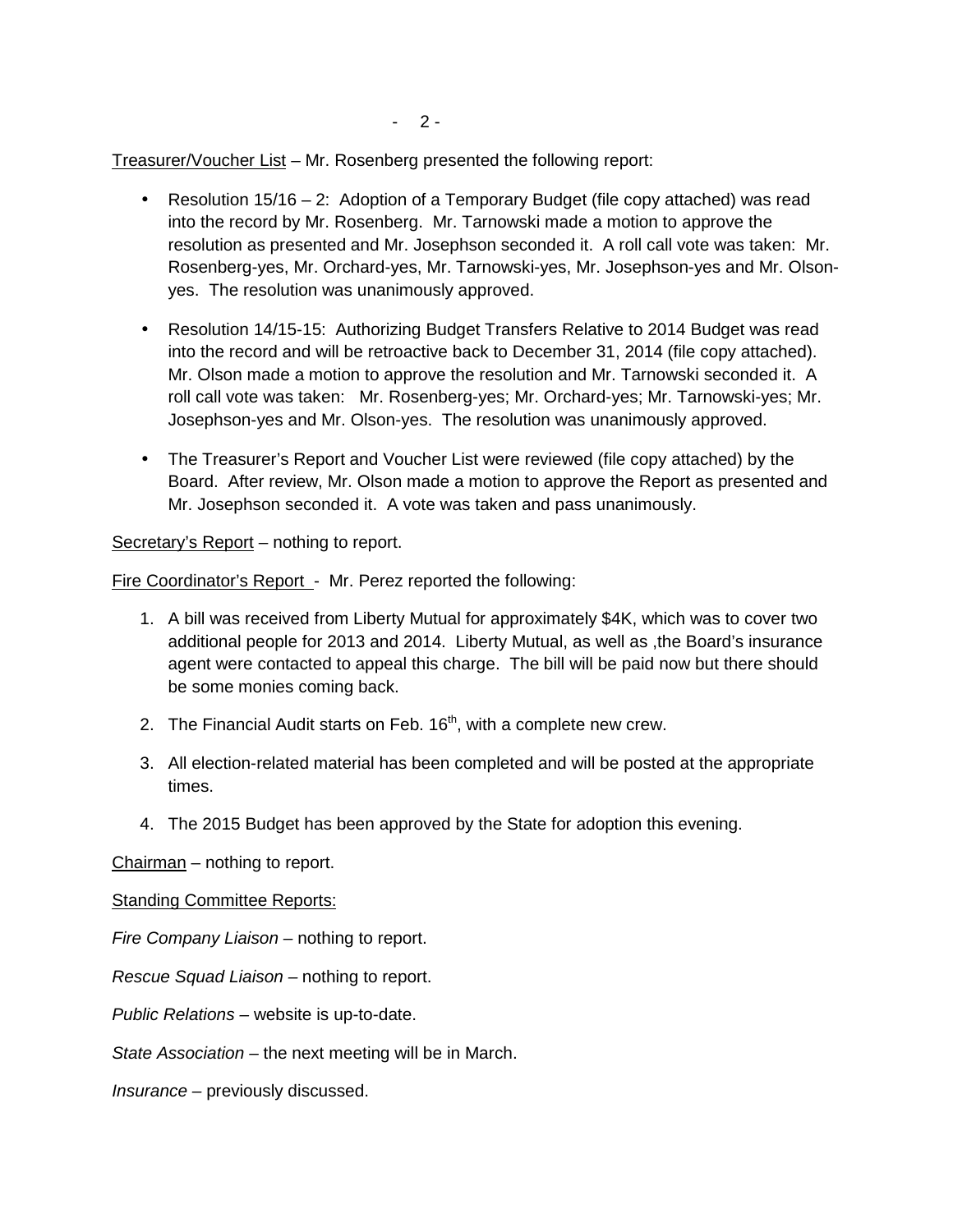$-2-$ 

Treasurer/Voucher List – Mr. Rosenberg presented the following report:

- **•** Resolution  $15/16 2$ : Adoption of a Temporary Budget (file copy attached) was read into the record by Mr. Rosenberg. Mr. Tarnowski made a motion to approve the resolution as presented and Mr. Josephson seconded it. A roll call vote was taken: Mr. Rosenberg-yes, Mr. Orchard-yes, Mr. Tarnowski-yes, Mr. Josephson-yes and Mr. Olson yes. The resolution was unanimously approved.
- Resolution 14/15-15: Authorizing Budget Transfers Relative to 2014 Budget was read into the record and will be retroactive back to December 31, 2014 (file copy attached). Mr. Olson made a motion to approve the resolution and Mr. Tarnowski seconded it. A roll call vote was taken: Mr. Rosenberg-yes; Mr. Orchard-yes; Mr. Tarnowski-yes; Mr. Josephson-yes and Mr. Olson-yes. The resolution was unanimously approved.
- The Treasurer's Report and Voucher List were reviewed (file copy attached) by the Board. After review, Mr. Olson made a motion to approve the Report as presented and Mr. Josephson seconded it. A vote was taken and pass unanimously.

Secretary's Report – nothing to report.

Fire Coordinator's Report - Mr. Perez reported the following:

- 1. A bill was received from Liberty Mutual for approximately \$4K, which was to cover two additional people for 2013 and 2014. Liberty Mutual, as well as ,the Board's insurance agent were contacted to appeal this charge. The bill will be paid now but there should be some monies coming back.
- 2. The Financial Audit starts on Feb.  $16<sup>th</sup>$ , with a complete new crew.
- 3. All election-related material has been completed and will be posted at the appropriate times.
- 4. The 2015 Budget has been approved by the State for adoption this evening.

Chairman – nothing to report.

#### **Standing Committee Reports:**

*Fire Company Liaison –* nothing to report.

*Rescue Squad Liaison –* nothing to report.

*Public Relations –* website is up-to-date.

*State Association –* the next meeting will be in March.

*Insurance –* previously discussed.